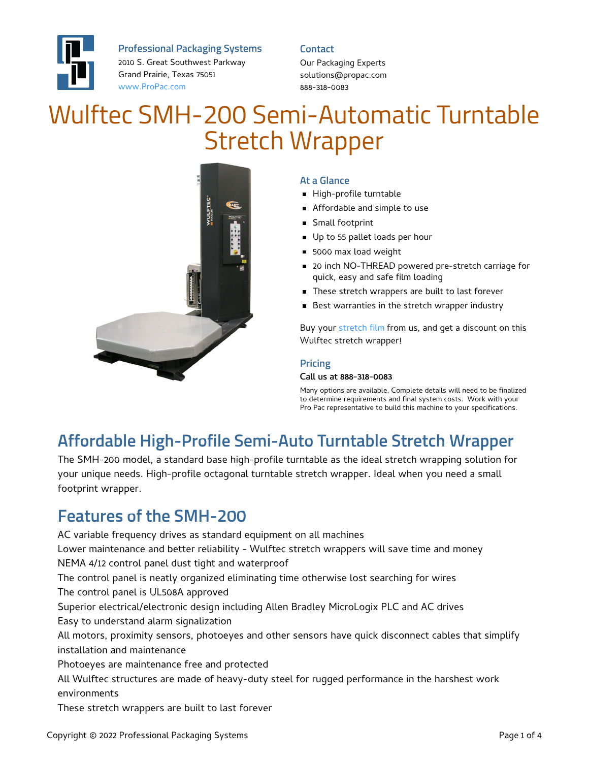

**Professional Packaging Systems**

2010 S. Great Southwest Parkway Grand Prairie, Texas 75051 [www.ProPac.com](https://www.propac.com/)

**Contact**

Our Packaging Experts solutions@propac.com 888-318-0083

# Wulftec SMH-200 Semi-Automatic Turntable Stretch Wrapper



#### **At a Glance**

- High-profile turntable
- Affordable and simple to use
- Small footprint
- Up to 55 pallet loads per hour
- **5000 max load weight**
- 20 inch NO-THREAD powered pre-stretch carriage for quick, easy and safe film loading
- **These stretch wrappers are built to last forever**
- Best warranties in the stretch wrapper industry

Buy your [stretch](file:///packaging-materials/stretch-film/) film from us, and get a discount on this Wulftec stretch wrapper!

#### **Pricing**

#### Call us at 888-318-0083

Many options are available. Complete details will need to be finalized to determine requirements and final system costs. Work with your Pro Pac representative to build this machine to your specifications.

### **Affordable High-Profile Semi-Auto Turntable Stretch Wrapper**

The SMH-200 model, a standard base high-profile turntable as the ideal stretch wrapping solution for your unique needs. High-profile octagonal turntable stretch wrapper. Ideal when you need a small footprint wrapper.

#### **Features of the SMH-200**

AC variable frequency drives as standard equipment on all machines Lower maintenance and better reliability - Wulftec stretch wrappers will save time and money NEMA 4/12 control panel dust tight and waterproof The control panel is neatly organized eliminating time otherwise lost searching for wires The control panel is UL508A approved Superior electrical/electronic design including Allen Bradley MicroLogix PLC and AC drives Easy to understand alarm signalization All motors, proximity sensors, photoeyes and other sensors have quick disconnect cables that simplify installation and maintenance Photoeyes are maintenance free and protected All Wulftec structures are made of heavy-duty steel for rugged performance in the harshest work environments These stretch wrappers are built to last forever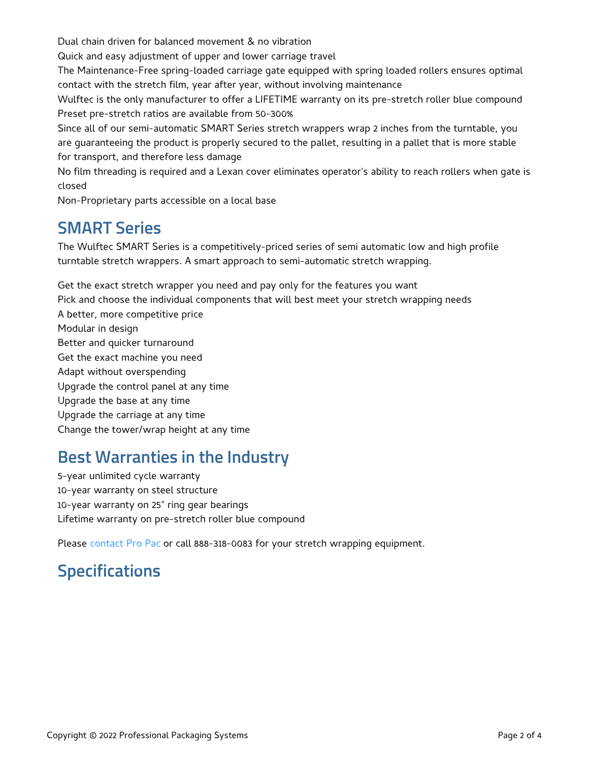Dual chain driven for balanced movement & no vibration

Quick and easy adjustment of upper and lower carriage travel

The Maintenance-Free spring-loaded carriage gate equipped with spring loaded rollers ensures optimal contact with the stretch film, year after year, without involving maintenance

Wulftec is the only manufacturer to offer a LIFETIME warranty on its pre-stretch roller blue compound Preset pre-stretch ratios are available from 50-300%

Since all of our semi-automatic SMART Series stretch wrappers wrap 2 inches from the turntable, you are guaranteeing the product is properly secured to the pallet, resulting in a pallet that is more stable for transport, and therefore less damage

No film threading is required and a Lexan cover eliminates operator's ability to reach rollers when gate is closed

Non-Proprietary parts accessible on a local base

#### **SMART Series**

The Wulftec SMART Series is a competitively-priced series of semi automatic low and high profile turntable stretch wrappers. A smart approach to semi-automatic stretch wrapping.

Get the exact stretch wrapper you need and pay only for the features you want Pick and choose the individual components that will best meet your stretch wrapping needs A better, more competitive price Modular in design Better and quicker turnaround Get the exact machine you need Adapt without overspending Upgrade the control panel at any time Upgrade the base at any time Upgrade the carriage at any time Change the tower/wrap height at any time

### **Best Warranties in the Industry**

5-year unlimited cycle warranty 10-year warranty on steel structure 10-year warranty on 25" ring gear bearings Lifetime warranty on pre-stretch roller blue compound

Please [contact](file:///contact/) Pro Pac or call 888-318-0083 for your stretch wrapping equipment.

### **Specifications**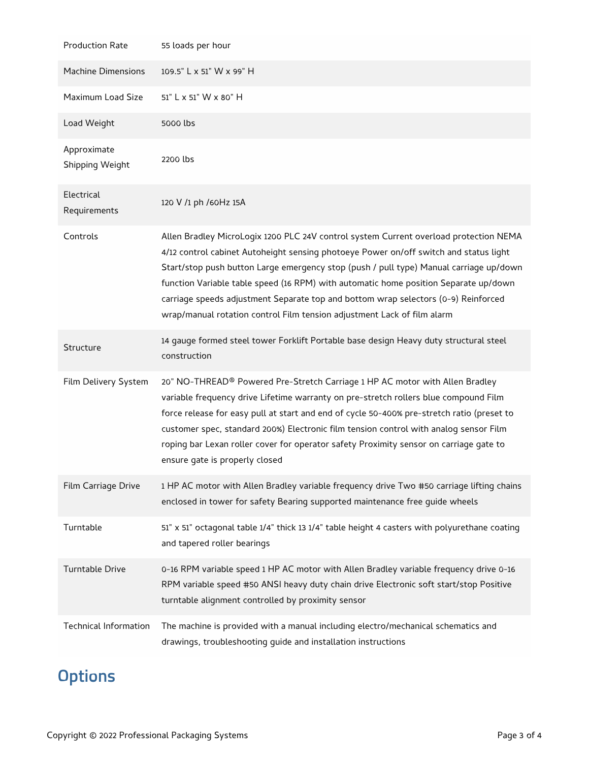| <b>Production Rate</b>         | 55 loads per hour                                                                                                                                                                                                                                                                                                                                                                                                                                                                                                                 |
|--------------------------------|-----------------------------------------------------------------------------------------------------------------------------------------------------------------------------------------------------------------------------------------------------------------------------------------------------------------------------------------------------------------------------------------------------------------------------------------------------------------------------------------------------------------------------------|
| <b>Machine Dimensions</b>      | 109.5" L x 51" W x 99" H                                                                                                                                                                                                                                                                                                                                                                                                                                                                                                          |
| Maximum Load Size              | 51" L x 51" W x 80" H                                                                                                                                                                                                                                                                                                                                                                                                                                                                                                             |
| Load Weight                    | 5000 lbs                                                                                                                                                                                                                                                                                                                                                                                                                                                                                                                          |
| Approximate<br>Shipping Weight | 2200 lbs                                                                                                                                                                                                                                                                                                                                                                                                                                                                                                                          |
| Electrical<br>Requirements     | 120 V /1 ph /60Hz 15A                                                                                                                                                                                                                                                                                                                                                                                                                                                                                                             |
| Controls                       | Allen Bradley MicroLogix 1200 PLC 24V control system Current overload protection NEMA<br>4/12 control cabinet Autoheight sensing photoeye Power on/off switch and status light<br>Start/stop push button Large emergency stop (push / pull type) Manual carriage up/down<br>function Variable table speed (16 RPM) with automatic home position Separate up/down<br>carriage speeds adjustment Separate top and bottom wrap selectors (0-9) Reinforced<br>wrap/manual rotation control Film tension adjustment Lack of film alarm |
| Structure                      | 14 gauge formed steel tower Forklift Portable base design Heavy duty structural steel<br>construction                                                                                                                                                                                                                                                                                                                                                                                                                             |
| Film Delivery System           | 20" NO-THREAD® Powered Pre-Stretch Carriage 1 HP AC motor with Allen Bradley<br>variable frequency drive Lifetime warranty on pre-stretch rollers blue compound Film<br>force release for easy pull at start and end of cycle 50-400% pre-stretch ratio (preset to<br>customer spec, standard 200%) Electronic film tension control with analog sensor Film<br>roping bar Lexan roller cover for operator safety Proximity sensor on carriage gate to<br>ensure gate is properly closed                                           |
| Film Carriage Drive            | 1 HP AC motor with Allen Bradley variable frequency drive Two #50 carriage lifting chains<br>enclosed in tower for safety Bearing supported maintenance free guide wheels                                                                                                                                                                                                                                                                                                                                                         |
| Turntable                      | 51" x 51" octagonal table 1/4" thick 13 1/4" table height 4 casters with polyurethane coating<br>and tapered roller bearings                                                                                                                                                                                                                                                                                                                                                                                                      |
| <b>Turntable Drive</b>         | 0-16 RPM variable speed 1 HP AC motor with Allen Bradley variable frequency drive 0-16<br>RPM variable speed #50 ANSI heavy duty chain drive Electronic soft start/stop Positive<br>turntable alignment controlled by proximity sensor                                                                                                                                                                                                                                                                                            |
| <b>Technical Information</b>   | The machine is provided with a manual including electro/mechanical schematics and<br>drawings, troubleshooting guide and installation instructions                                                                                                                                                                                                                                                                                                                                                                                |

## **Options**